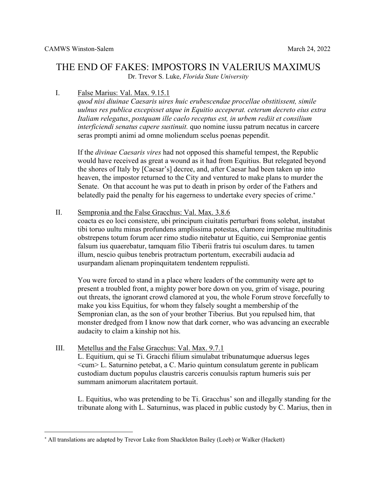# THE END OF FAKES: IMPOSTORS IN VALERIUS MAXIMUS

Dr. Trevor S. Luke, *Florida State University*

## I. False Marius: Val. Max. 9.15.1

*quod nisi diuinae Caesaris uires huic erubescendae procellae obstitissent, simile uulnus res publica excepisset atque in Equitio acceperat. ceterum decreto eius extra Italiam relegatus*, *postquam ille caelo receptus est, in urbem rediit et consilium interficiendi senatus capere sustinuit.* quo nomine iussu patrum necatus in carcere seras prompti animi ad omne moliendum scelus poenas pependit.

If the *divinae Caesaris vires* had not opposed this shameful tempest, the Republic would have received as great a wound as it had from Equitius. But relegated beyond the shores of Italy by [Caesar's] decree, and, after Caesar had been taken up into heaven, the impostor returned to the City and ventured to make plans to murder the Senate. On that account he was put to death in prison by order of the Fathers and belatedly paid the penalty for his eagerness to undertake every species of crime.\*

II. Sempronia and the False Gracchus: Val. Max. 3.8.6

coacta es eo loci consistere, ubi principum ciuitatis perturbari frons solebat, instabat tibi toruo uultu minas profundens amplissima potestas, clamore imperitae multitudinis obstrepens totum forum acer rimo studio nitebatur ut Equitio, cui Semproniae gentis falsum ius quaerebatur, tamquam filio Tiberii fratris tui osculum dares. tu tamen illum, nescio quibus tenebris protractum portentum, execrabili audacia ad usurpandam alienam propinquitatem tendentem reppulisti.

You were forced to stand in a place where leaders of the community were apt to present a troubled front, a mighty power bore down on you, grim of visage, pouring out threats, the ignorant crowd clamored at you, the whole Forum strove forcefully to make you kiss Equitius, for whom they falsely sought a membership of the Sempronian clan, as the son of your brother Tiberius. But you repulsed him, that monster dredged from I know now that dark corner, who was advancing an execrable audacity to claim a kinship not his.

III. Metellus and the False Gracchus: Val. Max. 9.7.1 L. Equitium, qui se Ti. Gracchi filium simulabat tribunatumque aduersus leges <cum> L. Saturnino petebat, a C. Mario quintum consulatum gerente in publicam custodiam ductum populus claustris carceris conuulsis raptum humeris suis per summam animorum alacritatem portauit.

L. Equitius, who was pretending to be Ti. Gracchus' son and illegally standing for the tribunate along with L. Saturninus, was placed in public custody by C. Marius, then in

<sup>\*</sup> All translations are adapted by Trevor Luke from Shackleton Bailey (Loeb) or Walker (Hackett)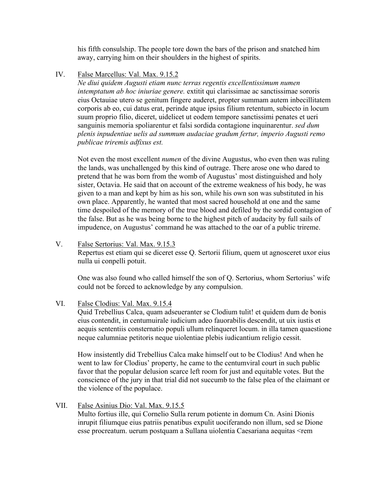his fifth consulship. The people tore down the bars of the prison and snatched him away, carrying him on their shoulders in the highest of spirits.

IV. False Marcellus: Val. Max. 9.15.2

*Ne diui quidem Augusti etiam nunc terras regentis excellentissimum numen intemptatum ab hoc iniuriae genere.* extitit qui clarissimae ac sanctissimae sororis eius Octauiae utero se genitum fingere auderet, propter summam autem inbecillitatem corporis ab eo, cui datus erat, perinde atque ipsius filium retentum, subiecto in locum suum proprio filio, diceret, uidelicet ut eodem tempore sanctissimi penates et ueri sanguinis memoria spoliarentur et falsi sordida contagione inquinarentur. *sed dum plenis inpudentiae uelis ad summum audaciae gradum fertur, imperio Augusti remo publicae triremis adfixus est.*

Not even the most excellent *numen* of the divine Augustus, who even then was ruling the lands, was unchallenged by this kind of outrage. There arose one who dared to pretend that he was born from the womb of Augustus' most distinguished and holy sister, Octavia. He said that on account of the extreme weakness of his body, he was given to a man and kept by him as his son, while his own son was substituted in his own place. Apparently, he wanted that most sacred household at one and the same time despoiled of the memory of the true blood and defiled by the sordid contagion of the false. But as he was being borne to the highest pitch of audacity by full sails of impudence, on Augustus' command he was attached to the oar of a public trireme.

V. False Sertorius: Val. Max. 9.15.3 Repertus est etiam qui se diceret esse Q. Sertorii filium, quem ut agnosceret uxor eius nulla ui conpelli potuit.

One was also found who called himself the son of Q. Sertorius, whom Sertorius' wife could not be forced to acknowledge by any compulsion.

VI. False Clodius: Val. Max. 9.15.4

Quid Trebellius Calca, quam adseueranter se Clodium tulit! et quidem dum de bonis eius contendit, in centumuirale iudicium adeo fauorabilis descendit, ut uix iustis et aequis sententiis consternatio populi ullum relinqueret locum. in illa tamen quaestione neque calumniae petitoris neque uiolentiae plebis iudicantium religio cessit.

How insistently did Trebellius Calca make himself out to be Clodius! And when he went to law for Clodius' property, he came to the centumviral court in such public favor that the popular delusion scarce left room for just and equitable votes. But the conscience of the jury in that trial did not succumb to the false plea of the claimant or the violence of the populace.

VII. False Asinius Dio: Val. Max. 9.15.5 Multo fortius ille, qui Cornelio Sulla rerum potiente in domum Cn. Asini Dionis inrupit filiumque eius patriis penatibus expulit uociferando non illum, sed se Dione esse procreatum. uerum postquam a Sullana uiolentia Caesariana aequitas <rem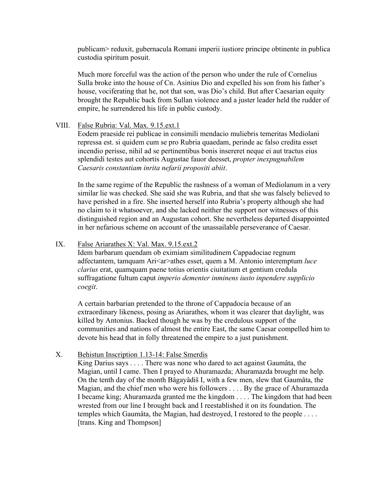publicam> reduxit, gubernacula Romani imperii iustiore principe obtinente in publica custodia spiritum posuit.

Much more forceful was the action of the person who under the rule of Cornelius Sulla broke into the house of Cn. Asinius Dio and expelled his son from his father's house, vociferating that he, not that son, was Dio's child. But after Caesarian equity brought the Republic back from Sullan violence and a juster leader held the rudder of empire, he surrendered his life in public custody.

#### VIII. False Rubria: Val. Max. 9.15.ext.1

Eodem praeside rei publicae in consimili mendacio muliebris temeritas Mediolani repressa est. si quidem cum se pro Rubria quaedam, perinde ac falso credita esset incendio perisse, nihil ad se pertinentibus bonis insereret neque ei aut tractus eius splendidi testes aut cohortis Augustae fauor deesset, *propter inexpugnabilem Caesaris constantiam inrita nefarii propositi abiit*.

In the same regime of the Republic the rashness of a woman of Mediolanum in a very similar lie was checked. She said she was Rubria, and that she was falsely believed to have perished in a fire. She inserted herself into Rubria's property although she had no claim to it whatsoever, and she lacked neither the support nor witnesses of this distinguished region and an Augustan cohort. She nevertheless departed disappointed in her nefarious scheme on account of the unassailable perseverance of Caesar.

### IX. False Ariarathes X: Val. Max. 9.15.ext.2

Idem barbarum quendam ob eximiam similitudinem Cappadociae regnum adfectantem, tamquam Ari<ar>athes esset, quem a M. Antonio interemptum *luce clarius* erat, quamquam paene totius orientis ciuitatium et gentium credula suffragatione fultum caput *imperio dementer inminens iusto inpendere supplicio coegit*.

A certain barbarian pretended to the throne of Cappadocia because of an extraordinary likeness, posing as Ariarathes, whom it was clearer that daylight, was killed by Antonius. Backed though he was by the credulous support of the communities and nations of almost the entire East, the same Caesar compelled him to devote his head that in folly threatened the empire to a just punishment.

#### X. Behistun Inscription 1.13-14: False Smerdis

King Darius says . . . . There was none who dared to act against Gaumâta, the Magian, until I came. Then I prayed to Ahuramazda; Ahuramazda brought me help. On the tenth day of the month Bâgayâdiš I, with a few men, slew that Gaumâta, the Magian, and the chief men who were his followers . . . . By the grace of Ahuramazda I became king; Ahuramazda granted me the kingdom . . . . The kingdom that had been wrested from our line I brought back and I reestablished it on its foundation. The temples which Gaumâta, the Magian, had destroyed, I restored to the people . . . . [trans. King and Thompson]